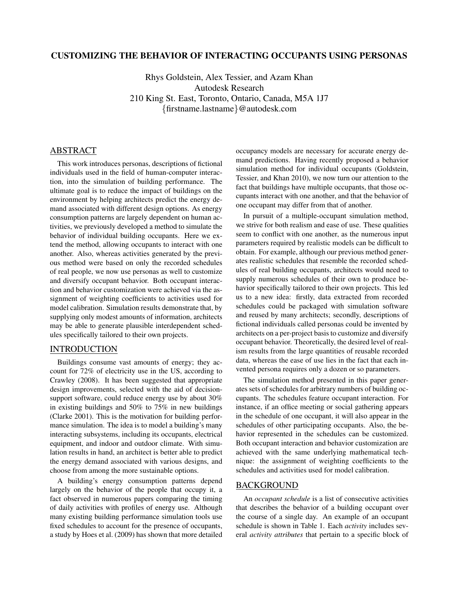# CUSTOMIZING THE BEHAVIOR OF INTERACTING OCCUPANTS USING PERSONAS

Rhys Goldstein, Alex Tessier, and Azam Khan Autodesk Research 210 King St. East, Toronto, Ontario, Canada, M5A 1J7 {firstname.lastname}@autodesk.com

# ABSTRACT

This work introduces personas, descriptions of fictional individuals used in the field of human-computer interaction, into the simulation of building performance. The ultimate goal is to reduce the impact of buildings on the environment by helping architects predict the energy demand associated with different design options. As energy consumption patterns are largely dependent on human activities, we previously developed a method to simulate the behavior of individual building occupants. Here we extend the method, allowing occupants to interact with one another. Also, whereas activities generated by the previous method were based on only the recorded schedules of real people, we now use personas as well to customize and diversify occupant behavior. Both occupant interaction and behavior customization were achieved via the assignment of weighting coefficients to activities used for model calibration. Simulation results demonstrate that, by supplying only modest amounts of information, architects may be able to generate plausible interdependent schedules specifically tailored to their own projects.

## INTRODUCTION

Buildings consume vast amounts of energy; they account for 72% of electricity use in the US, according to Crawley (2008). It has been suggested that appropriate design improvements, selected with the aid of decisionsupport software, could reduce energy use by about 30% in existing buildings and 50% to 75% in new buildings (Clarke 2001). This is the motivation for building performance simulation. The idea is to model a building's many interacting subsystems, including its occupants, electrical equipment, and indoor and outdoor climate. With simulation results in hand, an architect is better able to predict the energy demand associated with various designs, and choose from among the more sustainable options.

A building's energy consumption patterns depend largely on the behavior of the people that occupy it, a fact observed in numerous papers comparing the timing of daily activities with profiles of energy use. Although many existing building performance simulation tools use fixed schedules to account for the presence of occupants, a study by Hoes et al. (2009) has shown that more detailed occupancy models are necessary for accurate energy demand predictions. Having recently proposed a behavior simulation method for individual occupants (Goldstein, Tessier, and Khan 2010), we now turn our attention to the fact that buildings have multiple occupants, that those occupants interact with one another, and that the behavior of one occupant may differ from that of another.

In pursuit of a multiple-occupant simulation method, we strive for both realism and ease of use. These qualities seem to conflict with one another, as the numerous input parameters required by realistic models can be difficult to obtain. For example, although our previous method generates realistic schedules that resemble the recorded schedules of real building occupants, architects would need to supply numerous schedules of their own to produce behavior specifically tailored to their own projects. This led us to a new idea: firstly, data extracted from recorded schedules could be packaged with simulation software and reused by many architects; secondly, descriptions of fictional individuals called personas could be invented by architects on a per-project basis to customize and diversify occupant behavior. Theoretically, the desired level of realism results from the large quantities of reusable recorded data, whereas the ease of use lies in the fact that each invented persona requires only a dozen or so parameters.

The simulation method presented in this paper generates sets of schedules for arbitrary numbers of building occupants. The schedules feature occupant interaction. For instance, if an office meeting or social gathering appears in the schedule of one occupant, it will also appear in the schedules of other participating occupants. Also, the behavior represented in the schedules can be customized. Both occupant interaction and behavior customization are achieved with the same underlying mathematical technique: the assignment of weighting coefficients to the schedules and activities used for model calibration.

#### BACKGROUND

An *occupant schedule* is a list of consecutive activities that describes the behavior of a building occupant over the course of a single day. An example of an occupant schedule is shown in Table 1. Each *activity* includes several *activity attributes* that pertain to a specific block of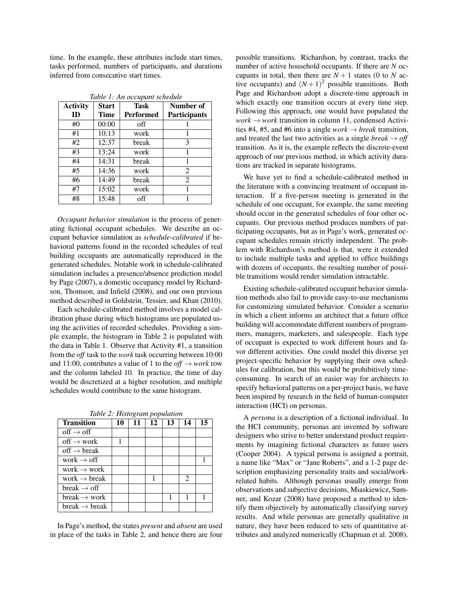time. In the example, these attributes include start times, tasks performed, numbers of participants, and durations inferred from consecutive start times.

| <b>Activity</b> | <b>Start</b> | <b>Task</b>      | Number of           |
|-----------------|--------------|------------------|---------------------|
| ID              | Time         | <b>Performed</b> | <b>Participants</b> |
| #0              | 00:00        | off              |                     |
| #1              | 10:13        | work             |                     |
| #2              | 12:37        | break            | 3                   |
| #3              | 13:24        | work             | 1                   |
| #4              | 14:31        | break            | 1                   |
| #5              | 14:36        | work             | 2                   |
| #6              | 14:49        | break            | $\overline{2}$      |
| #7              | 15:02        | work             | 1                   |
| #8              | 15:48        | off              |                     |

*Table 1: An occupant schedule*

*Occupant behavior simulation* is the process of generating fictional occupant schedules. We describe an occupant behavior simulation as *schedule-calibrated* if behavioral patterns found in the recorded schedules of real building occupants are automatically reproduced in the generated schedules. Notable work in schedule-calibrated simulation includes a presence/absence prediction model by Page (2007), a domestic occupancy model by Richardson, Thomson, and Infield (2008), and our own previous method described in Goldstein, Tessier, and Khan (2010).

Each schedule-calibrated method involves a model calibration phase during which histograms are populated using the activities of recorded schedules. Providing a simple example, the histogram in Table 2 is populated with the data in Table 1. Observe that Activity #1, a transition from the *off* task to the *work* task occurring between 10:00 and 11:00, contributes a value of 1 to the *off*  $\rightarrow$  *work* row and the column labeled 10. In practice, the time of day would be discretized at a higher resolution, and multiple schedules would contribute to the same histogram.

*Table 2: Histogram population*

| <b>Transition</b>                   | 10 | 11 | 12 | 13 | 14                            | 15 |
|-------------------------------------|----|----|----|----|-------------------------------|----|
| $\text{off} \rightarrow \text{off}$ |    |    |    |    |                               |    |
| off $\rightarrow$ work              |    |    |    |    |                               |    |
| off $\rightarrow$ break             |    |    |    |    |                               |    |
| work $\rightarrow$ off              |    |    |    |    |                               |    |
| work $\rightarrow$ work             |    |    |    |    |                               |    |
| work $\rightarrow$ break            |    |    |    |    | $\mathfrak{D}_{\mathfrak{p}}$ |    |
| $break \rightarrow off$             |    |    |    |    |                               |    |
| break $\rightarrow$ work            |    |    |    |    |                               |    |
| break $\rightarrow$ break           |    |    |    |    |                               |    |

In Page's method, the states *present* and *absent* are used in place of the tasks in Table 2, and hence there are four possible transitions. Richardson, by contrast, tracks the number of active household occupants. If there are *N* occupants in total, then there are  $N + 1$  states (0 to  $N$  active occupants) and  $(N+1)^2$  possible transitions. Both Page and Richardson adopt a discrete-time approach in which exactly one transition occurs at every time step. Following this approach, one would have populated the  $work \rightarrow work$  transition in column 11, condensed Activities #4, #5, and #6 into a single  $work \rightarrow break$  transition, and treated the last two activities as a single *break*  $\rightarrow$  *off* transition. As it is, the example reflects the discrete-event approach of our previous method, in which activity durations are tracked in separate histograms.

We have yet to find a schedule-calibrated method in the literature with a convincing treatment of occupant interaction. If a five-person meeting is generated in the schedule of one occupant, for example, the same meeting should occur in the generated schedules of four other occupants. Our previous method produces numbers of participating occupants, but as in Page's work, generated occupant schedules remain strictly independent. The problem with Richardson's method is that, were it extended to include multiple tasks and applied to office buildings with dozens of occupants, the resulting number of possible transitions would render simulation intractable.

Existing schedule-calibrated occupant behavior simulation methods also fail to provide easy-to-use mechanisms for customizing simulated behavior. Consider a scenario in which a client informs an architect that a future office building will accommodate different numbers of programmers, managers, marketers, and salespeople. Each type of occupant is expected to work different hours and favor different activities. One could model this diverse yet project-specific behavior by supplying their own schedules for calibration, but this would be prohibitively timeconsuming. In search of an easier way for architects to specify behavioral patterns on a per-project basis, we have been inspired by research in the field of human-computer interaction (HCI) on personas.

A *persona* is a description of a fictional individual. In the HCI community, personas are invented by software designers who strive to better understand product requirements by imagining fictional characters as future users (Cooper 2004). A typical persona is assigned a portrait, a name like "Max" or "Jane Roberts", and a 1-2 page description emphasizing personality traits and social/workrelated habits. Although personas usually emerge from observations and subjective decisions, Miaskiewicz, Sumner, and Kozar (2008) have proposed a method to identify them objectively by automatically classifying survey results. And while personas are generally qualitative in nature, they have been reduced to sets of quantitative attributes and analyzed numerically (Chapman et al. 2008).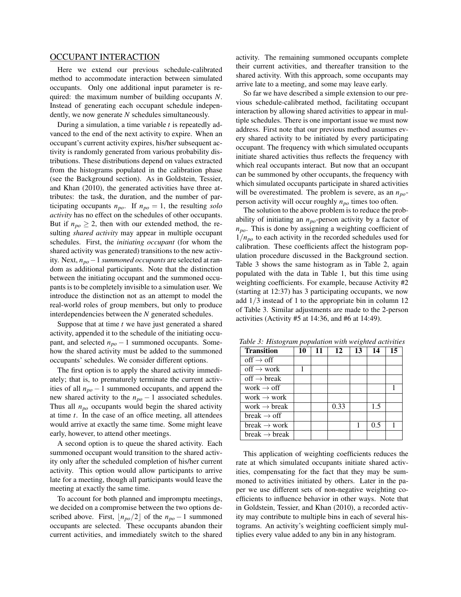### OCCUPANT INTERACTION

Here we extend our previous schedule-calibrated method to accommodate interaction between simulated occupants. Only one additional input parameter is required: the maximum number of building occupants *N*. Instead of generating each occupant schedule independently, we now generate *N* schedules simultaneously.

During a simulation, a time variable *t* is repeatedly advanced to the end of the next activity to expire. When an occupant's current activity expires, his/her subsequent activity is randomly generated from various probability distributions. These distributions depend on values extracted from the histograms populated in the calibration phase (see the Background section). As in Goldstein, Tessier, and Khan (2010), the generated activities have three attributes: the task, the duration, and the number of participating occupants  $n_{po}$ . If  $n_{po} = 1$ , the resulting *solo activity* has no effect on the schedules of other occupants. But if  $n_{po} \geq 2$ , then with our extended method, the resulting *shared activity* may appear in multiple occupant schedules. First, the *initiating occupant* (for whom the shared activity was generated) transitions to the new activity. Next, *npo*−1 *summoned occupants* are selected at random as additional participants. Note that the distinction between the initiating occupant and the summoned occupants is to be completely invisible to a simulation user. We introduce the distinction not as an attempt to model the real-world roles of group members, but only to produce interdependencies between the *N* generated schedules.

Suppose that at time *t* we have just generated a shared activity, appended it to the schedule of the initiating occupant, and selected  $n_{po} - 1$  summoned occupants. Somehow the shared activity must be added to the summoned occupants' schedules. We consider different options.

The first option is to apply the shared activity immediately; that is, to prematurely terminate the current activities of all *npo* − 1 summoned occupants, and append the new shared activity to the *npo* − 1 associated schedules. Thus all *npo* occupants would begin the shared activity at time *t*. In the case of an office meeting, all attendees would arrive at exactly the same time. Some might leave early, however, to attend other meetings.

A second option is to queue the shared activity. Each summoned occupant would transition to the shared activity only after the scheduled completion of his/her current activity. This option would allow participants to arrive late for a meeting, though all participants would leave the meeting at exactly the same time.

To account for both planned and impromptu meetings, we decided on a compromise between the two options described above. First,  $|n_{po}/2|$  of the  $n_{po} - 1$  summoned occupants are selected. These occupants abandon their current activities, and immediately switch to the shared

activity. The remaining summoned occupants complete their current activities, and thereafter transition to the shared activity. With this approach, some occupants may arrive late to a meeting, and some may leave early.

So far we have described a simple extension to our previous schedule-calibrated method, facilitating occupant interaction by allowing shared activities to appear in multiple schedules. There is one important issue we must now address. First note that our previous method assumes every shared activity to be initiated by every participating occupant. The frequency with which simulated occupants initiate shared activities thus reflects the frequency with which real occupants interact. But now that an occupant can be summoned by other occupants, the frequency with which simulated occupants participate in shared activities will be overestimated. The problem is severe, as an *npo*person activity will occur roughly *npo* times too often.

The solution to the above problem is to reduce the probability of initiating an *npo*-person activity by a factor of *npo*. This is done by assigning a weighting coefficient of 1/*npo* to each activity in the recorded schedules used for calibration. These coefficients affect the histogram population procedure discussed in the Background section. Table 3 shows the same histogram as in Table 2, again populated with the data in Table 1, but this time using weighting coefficients. For example, because Activity #2 (starting at 12:37) has 3 participating occupants, we now add 1/3 instead of 1 to the appropriate bin in column 12 of Table 3. Similar adjustments are made to the 2-person activities (Activity #5 at 14:36, and #6 at 14:49).

| <b>Transition</b>                    | $\overline{ }$<br>10 | 11 | 12   | 13 | 14  | 15 |
|--------------------------------------|----------------------|----|------|----|-----|----|
| $\text{off} \rightarrow \text{off}$  |                      |    |      |    |     |    |
| $\text{off} \rightarrow \text{work}$ | 1                    |    |      |    |     |    |
| off $\rightarrow$ break              |                      |    |      |    |     |    |
| work $\rightarrow$ off               |                      |    |      |    |     | 1  |
| work $\rightarrow$ work              |                      |    |      |    |     |    |
| work $\rightarrow$ break             |                      |    | 0.33 |    | 1.5 |    |
| break $\rightarrow$ off              |                      |    |      |    |     |    |
| break $\rightarrow$ work             |                      |    |      |    | 0.5 | 1  |
| break $\rightarrow$ break            |                      |    |      |    |     |    |

*Table 3: Histogram population with weighted activities*

This application of weighting coefficients reduces the rate at which simulated occupants initiate shared activities, compensating for the fact that they may be summoned to activities initiated by others. Later in the paper we use different sets of non-negative weighting coefficients to influence behavior in other ways. Note that in Goldstein, Tessier, and Khan (2010), a recorded activity may contribute to multiple bins in each of several histograms. An activity's weighting coefficient simply multiplies every value added to any bin in any histogram.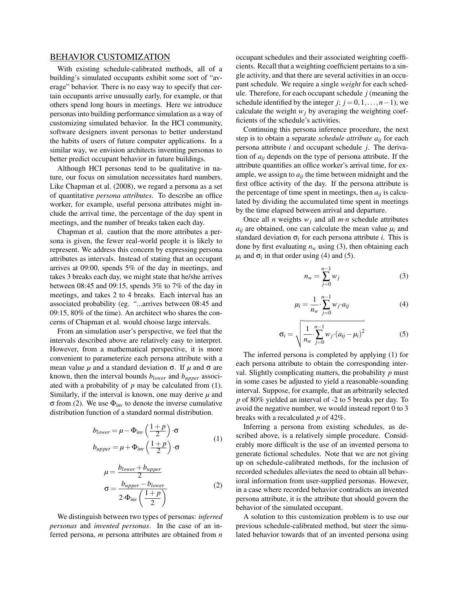## BEHAVIOR CUSTOMIZATION

With existing schedule-calibrated methods, all of a building's simulated occupants exhibit some sort of "average" behavior. There is no easy way to specify that certain occupants arrive unusually early, for example, or that others spend long hours in meetings. Here we introduce personas into building performance simulation as a way of customizing simulated behavior. In the HCI community, software designers invent personas to better understand the habits of users of future computer applications. In a similar way, we envision architects inventing personas to better predict occupant behavior in future buildings.

Although HCI personas tend to be qualitative in nature, our focus on simulation necessitates hard numbers. Like Chapman et al. (2008), we regard a persona as a set of quantitative *persona attributes*. To describe an office worker, for example, useful persona attributes might include the arrival time, the percentage of the day spent in meetings, and the number of breaks taken each day.

Chapman et al. caution that the more attributes a persona is given, the fewer real-world people it is likely to represent. We address this concern by expressing persona attributes as intervals. Instead of stating that an occupant arrives at 09:00, spends 5% of the day in meetings, and takes 3 breaks each day, we might state that he/she arrives between 08:45 and 09:15, spends 3% to 7% of the day in meetings, and takes 2 to 4 breaks. Each interval has an associated probability (eg. "...arrives between 08:45 and 09:15, 80% of the time). An architect who shares the concerns of Chapman et al. would choose large intervals.

From an simulation user's perspective, we feel that the intervals described above are relatively easy to interpret. However, from a mathematical perspective, it is more convenient to parameterize each persona attribute with a mean value  $\mu$  and a standard deviation  $\sigma$ . If  $\mu$  and  $\sigma$  are known, then the interval bounds *blower* and *bupper* associated with a probability of *p* may be calculated from (1). Similarly, if the interval is known, one may derive  $\mu$  and σ from (2). We use Φ*inv* to denote the inverse cumulative distribution function of a standard normal distribution.

$$
b_{lower} = \mu - \Phi_{inv} \left( \frac{1+p}{2} \right) \cdot \sigma
$$
  

$$
b_{upper} = \mu + \Phi_{inv} \left( \frac{1+p}{2} \right) \cdot \sigma
$$
 (1)

$$
\mu = \frac{b_{lower} + b_{upper}}{2}
$$
  
\n
$$
\sigma = \frac{b_{upper} - b_{lower}}{2 \cdot \Phi_{inv} \left(\frac{1+p}{2}\right)}
$$
 (2)

We distinguish between two types of personas: *inferred personas* and *invented personas*. In the case of an inferred persona, *m* persona attributes are obtained from *n*

occupant schedules and their associated weighting coefficients. Recall that a weighting coefficient pertains to a single activity, and that there are several activities in an occupant schedule. We require a single *weight* for each schedule. Therefore, for each occupant schedule *j* (meaning the schedule identified by the integer *j*;  $j = 0, 1, \ldots, n-1$ , we calculate the weight  $w_i$  by averaging the weighting coefficients of the schedule's activities.

Continuing this persona inference procedure, the next step is to obtain a separate *schedule attribute aij* for each persona attribute *i* and occupant schedule *j*. The derivation of *aij* depends on the type of persona attribute. If the attribute quantifies an office worker's arrival time, for example, we assign to  $a_{ij}$  the time between midnight and the first office activity of the day. If the persona attribute is the percentage of time spent in meetings, then  $a_{ij}$  is calculated by dividing the accumulated time spent in meetings by the time elapsed between arrival and departure.

Once all *n* weights  $w_j$  and all  $m \cdot n$  schedule attributes  $a_{ij}$  are obtained, one can calculate the mean value  $\mu_i$  and standard deviation  $\sigma_i$  for each persona attribute *i*. This is done by first evaluating  $n_w$  using (3), then obtaining each  $\mu_i$  and  $\sigma_i$  in that order using (4) and (5).

$$
n_w = \sum_{j=0}^{n-1} w_j \tag{3}
$$

$$
\mu_i = \frac{1}{n_w} \cdot \sum_{j=0}^{n-1} w_j \cdot a_{ij} \tag{4}
$$

$$
\sigma_i = \sqrt{\frac{1}{n_w} \sum_{j=0}^{n-1} w_j (a_{ij} - \mu_i)^2}
$$
 (5)

The inferred persona is completed by applying (1) for each persona attribute to obtain the corresponding interval. Slightly complicating matters, the probability *p* must in some cases be adjusted to yield a reasonable-sounding interval. Suppose, for example, that an arbitrarily selected *p* of 80% yielded an interval of -2 to 5 breaks per day. To avoid the negative number, we would instead report 0 to 3 breaks with a recalculated *p* of 42%.

Inferring a persona from existing schedules, as described above, is a relatively simple procedure. Considerably more difficult is the use of an invented persona to generate fictional schedules. Note that we are not giving up on schedule-calibrated methods, for the inclusion of recorded schedules alleviates the need to obtain all behavioral information from user-supplied personas. However, in a case where recorded behavior contradicts an invented persona attribute, it is the attribute that should govern the behavior of the simulated occupant.

A solution to this customization problem is to use our previous schedule-calibrated method, but steer the simulated behavior towards that of an invented persona using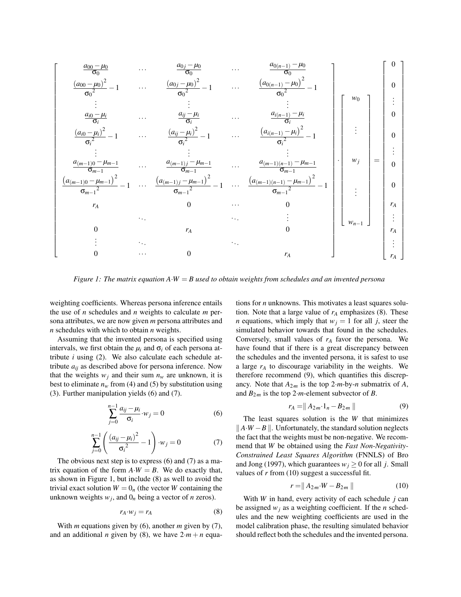

*Figure 1: The matrix equation A*·*W* = *B used to obtain weights from schedules and an invented persona*

weighting coefficients. Whereas persona inference entails the use of *n* schedules and *n* weights to calculate *m* persona attributes, we are now given *m* persona attributes and *n* schedules with which to obtain *n* weights.

Assuming that the invented persona is specified using intervals, we first obtain the  $\mu_i$  and  $\sigma_i$  of each persona attribute *i* using (2). We also calculate each schedule attribute  $a_{ij}$  as described above for persona inference. Now that the weights  $w_j$  and their sum  $n_w$  are unknown, it is best to eliminate  $n_w$  from (4) and (5) by substitution using (3). Further manipulation yields (6) and (7).

$$
\sum_{j=0}^{n-1} \frac{a_{ij} - \mu_i}{\sigma_i} w_j = 0 \tag{6}
$$

$$
\sum_{j=0}^{n-1} \left( \frac{(a_{ij} - \mu_i)^2}{\sigma_i^2} - 1 \right) \cdot w_j = 0 \tag{7}
$$

The obvious next step is to express (6) and (7) as a matrix equation of the form  $A \cdot W = B$ . We do exactly that, as shown in Figure 1, but include (8) as well to avoid the trivial exact solution  $W = 0<sub>n</sub>$  (the vector *W* containing the unknown weights  $w_j$ , and  $0_n$  being a vector of *n* zeros).

$$
r_A \cdot w_j = r_A \tag{8}
$$

With *m* equations given by (6), another *m* given by (7), and an additional *n* given by (8), we have  $2 \cdot m + n$  equations for *n* unknowns. This motivates a least squares solution. Note that a large value of  $r_A$  emphasizes (8). These *n* equations, which imply that  $w<sub>i</sub> = 1$  for all *j*, steer the simulated behavior towards that found in the schedules. Conversely, small values of *r<sup>A</sup>* favor the persona. We have found that if there is a great discrepancy between the schedules and the invented persona, it is safest to use a large *r<sup>A</sup>* to discourage variability in the weights. We therefore recommend (9), which quantifies this discrepancy. Note that  $A_{2m}$  is the top  $2 \cdot m$ -by-*n* submatrix of *A*, and  $B_{2m}$  is the top 2·*m*-element subvector of *B*.

$$
r_A = \|A_{2m} \cdot 1_n - B_{2m}\|
$$
 (9)

The least squares solution is the *W* that minimizes  $|| A·W – B ||$ . Unfortunately, the standard solution neglects the fact that the weights must be non-negative. We recommend that *W* be obtained using the *Fast Non-Negativity-Constrained Least Squares Algorithm* (FNNLS) of Bro and Jong (1997), which guarantees  $w_i \geq 0$  for all *j*. Small values of *r* from (10) suggest a successful fit.

$$
r = \|A_{2m} \cdot W - B_{2m}\|
$$
 (10)

With *W* in hand, every activity of each schedule *j* can be assigned  $w_i$  as a weighting coefficient. If the *n* schedules and the new weighting coefficients are used in the model calibration phase, the resulting simulated behavior should reflect both the schedules and the invented persona.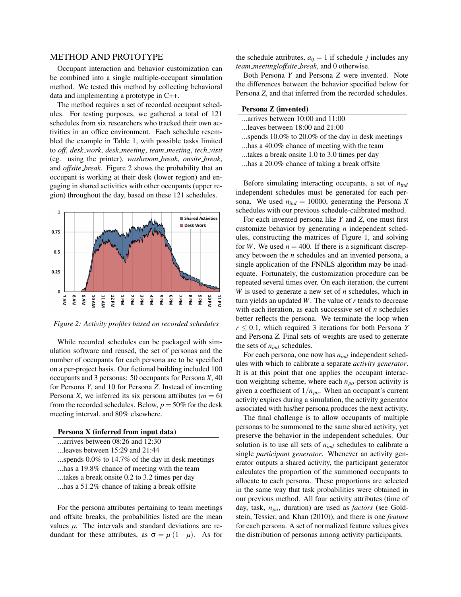## METHOD AND PROTOTYPE

Occupant interaction and behavior customization can be combined into a single multiple-occupant simulation method. We tested this method by collecting behavioral data and implementing a prototype in C++.

The method requires a set of recorded occupant schedules. For testing purposes, we gathered a total of 121 schedules from six researchers who tracked their own activities in an office environment. Each schedule resembled the example in Table 1, with possible tasks limited to *off*, *desk work*, *desk meeting*, *team meeting*, *tech visit* (eg. using the printer), *washroom break*, *onsite break*, and *offsite break*. Figure 2 shows the probability that an occupant is working at their desk (lower region) and engaging in shared activities with other occupants (upper region) throughout the day, based on these 121 schedules.



*Figure 2: Activity profiles based on recorded schedules*

While recorded schedules can be packaged with simulation software and reused, the set of personas and the number of occupants for each persona are to be specified on a per-project basis. Our fictional building included 100 occupants and 3 personas: 50 occupants for Persona *X*, 40 for Persona *Y*, and 10 for Persona *Z*. Instead of inventing Persona *X*, we inferred its six persona attributes ( $m = 6$ ) from the recorded schedules. Below,  $p = 50\%$  for the desk meeting interval, and 80% elsewhere.

#### Persona X (inferred from input data)

- ...arrives between 08:26 and 12:30
- ...leaves between 15:29 and 21:44
- ...spends 0.0% to 14.7% of the day in desk meetings
- ...has a 19.8% chance of meeting with the team
- ...takes a break onsite 0.2 to 3.2 times per day
- ...has a 51.2% chance of taking a break offsite

For the persona attributes pertaining to team meetings and offsite breaks, the probabilities listed are the mean values  $\mu$ . The intervals and standard deviations are redundant for these attributes, as  $\sigma = \mu (1 - \mu)$ . As for the schedule attributes,  $a_{ij} = 1$  if schedule *j* includes any *team meeting*/*offsite break*, and 0 otherwise.

Both Persona *Y* and Persona *Z* were invented. Note the differences between the behavior specified below for Persona *Z*, and that inferred from the recorded schedules.

#### Persona Z (invented)

- ...arrives between 10:00 and 11:00 ...leaves between 18:00 and 21:00
- 
- ...spends 10.0% to 20.0% of the day in desk meetings
- ...has a 40.0% chance of meeting with the team
- ...takes a break onsite 1.0 to 3.0 times per day
- ...has a 20.0% chance of taking a break offsite

Before simulating interacting occupants, a set of *nind* independent schedules must be generated for each persona. We used  $n_{ind} = 10000$ , generating the Persona *X* schedules with our previous schedule-calibrated method.

For each invented persona like *Y* and *Z*, one must first customize behavior by generating *n* independent schedules, constructing the matrices of Figure 1, and solving for *W*. We used  $n = 400$ . If there is a significant discrepancy between the *n* schedules and an invented persona, a single application of the FNNLS algorithm may be inadequate. Fortunately, the customization procedure can be repeated several times over. On each iteration, the current *W* is used to generate a new set of *n* schedules, which in turn yields an updated *W*. The value of *r* tends to decrease with each iteration, as each successive set of *n* schedules better reflects the persona. We terminate the loop when  $r \leq 0.1$ , which required 3 iterations for both Persona *Y* and Persona *Z*. Final sets of weights are used to generate the sets of *nind* schedules.

For each persona, one now has *nind* independent schedules with which to calibrate a separate *activity generator*. It is at this point that one applies the occupant interaction weighting scheme, where each *npo*-person activity is given a coefficient of 1/*npo*. When an occupant's current activity expires during a simulation, the activity generator associated with his/her persona produces the next activity.

The final challenge is to allow occupants of multiple personas to be summoned to the same shared activity, yet preserve the behavior in the independent schedules. Our solution is to use all sets of *nind* schedules to calibrate a single *participant generator*. Whenever an activity generator outputs a shared activity, the participant generator calculates the proportion of the summoned occupants to allocate to each persona. These proportions are selected in the same way that task probabilities were obtained in our previous method. All four activity attributes (time of day, task, *npo*, duration) are used as *factors* (see Goldstein, Tessier, and Khan (2010)), and there is one *feature* for each persona. A set of normalized feature values gives the distribution of personas among activity participants.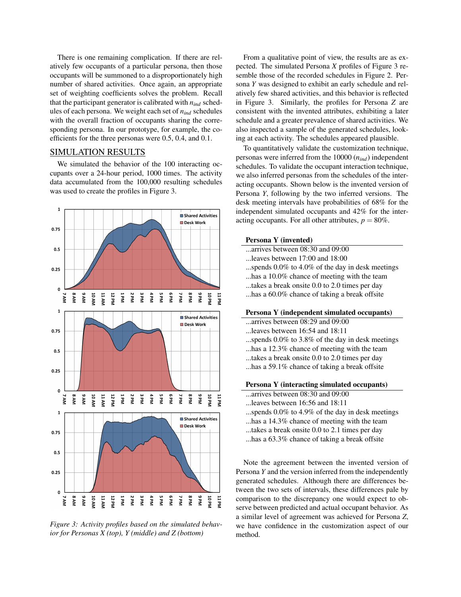There is one remaining complication. If there are relatively few occupants of a particular persona, then those occupants will be summoned to a disproportionately high number of shared activities. Once again, an appropriate set of weighting coefficients solves the problem. Recall that the participant generator is calibrated with *nind* schedules of each persona. We weight each set of *nind* schedules with the overall fraction of occupants sharing the corresponding persona. In our prototype, for example, the coefficients for the three personas were 0.5, 0.4, and 0.1.

## SIMULATION RESULTS

We simulated the behavior of the 100 interacting occupants over a 24-hour period, 1000 times. The activity data accumulated from the 100,000 resulting schedules was used to create the profiles in Figure 3.



*Figure 3: Activity profiles based on the simulated behavior for Personas X (top), Y (middle) and Z (bottom)*

From a qualitative point of view, the results are as expected. The simulated Persona *X* profiles of Figure 3 resemble those of the recorded schedules in Figure 2. Persona *Y* was designed to exhibit an early schedule and relatively few shared activities, and this behavior is reflected in Figure 3. Similarly, the profiles for Persona *Z* are consistent with the invented attributes, exhibiting a later schedule and a greater prevalence of shared activities. We also inspected a sample of the generated schedules, looking at each activity. The schedules appeared plausible.

To quantitatively validate the customization technique, personas were inferred from the 10000 (*nind*) independent schedules. To validate the occupant interaction technique, we also inferred personas from the schedules of the interacting occupants. Shown below is the invented version of Persona *Y*, following by the two inferred versions. The desk meeting intervals have probabilities of 68% for the independent simulated occupants and 42% for the interacting occupants. For all other attributes,  $p = 80\%$ .

#### Persona Y (invented)

- ...arrives between 08:30 and 09:00
- ...leaves between 17:00 and 18:00
- ...spends 0.0% to 4.0% of the day in desk meetings
- ...has a 10.0% chance of meeting with the team
- ...takes a break onsite 0.0 to 2.0 times per day
- ...has a 60.0% chance of taking a break offsite

#### Persona Y (independent simulated occupants)

- ...arrives between 08:29 and 09:00
- ...leaves between 16:54 and 18:11
- ...spends 0.0% to 3.8% of the day in desk meetings
- ...has a 12.3% chance of meeting with the team
- ...takes a break onsite 0.0 to 2.0 times per day
- ...has a 59.1% chance of taking a break offsite

#### Persona Y (interacting simulated occupants)

- ...arrives between 08:30 and 09:00
- ...leaves between 16:56 and 18:11
- ...spends 0.0% to 4.9% of the day in desk meetings
- ...has a 14.3% chance of meeting with the team
- ...takes a break onsite 0.0 to 2.1 times per day
- ...has a 63.3% chance of taking a break offsite

Note the agreement between the invented version of Persona *Y* and the version inferred from the independently generated schedules. Although there are differences between the two sets of intervals, these differences pale by comparison to the discrepancy one would expect to observe between predicted and actual occupant behavior. As a similar level of agreement was achieved for Persona *Z*, we have confidence in the customization aspect of our method.